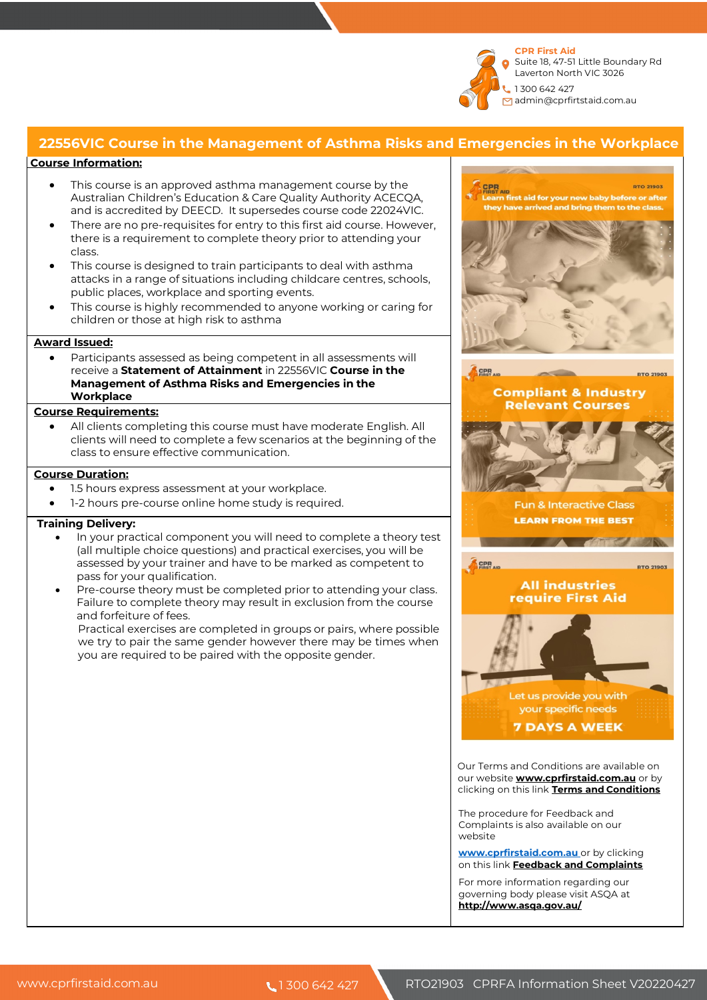

## **22556VIC Course in the Management of Asthma Risks and Emergencies in the Workplace**

## **Course Information:**

- This course is an approved asthma management course by the Australian Children's Education & Care Quality Authority ACECQA, and is accredited by DEECD. It supersedes course code 22024VIC.
- There are no pre-requisites for entry to this first aid course. However, there is a requirement to complete theory prior to attending your class.
- This course is designed to train participants to deal with asthma attacks in a range of situations including childcare centres, schools, public places, workplace and sporting events.
- This course is highly recommended to anyone working or caring for children or those at high risk to asthma

### **Award Issued:**

Participants assessed as being competent in all assessments will receive a **Statement of Attainment** in 22556VIC **Course in the Management of Asthma Risks and Emergencies in the Workplace**

#### **Course Requirements:**

All clients completing this course must have moderate English. All clients will need to complete a few scenarios at the beginning of the class to ensure effective communication.

#### **Course Duration:**

- 1.5 hours express assessment at your workplace.
- 1-2 hours pre-course online home study is required.

#### **Training Delivery:**

- In your practical component you will need to complete a theory test (all multiple choice questions) and practical exercises, you will be assessed by your trainer and have to be marked as competent to pass for your qualification.
- Pre-course theory must be completed prior to attending your class. Failure to complete theory may result in exclusion from the course and forfeiture of fees.

Practical exercises are completed in groups or pairs, where possible we try to pair the same gender however there may be times when you are required to be paired with the opposite gender.



Complaints is also available on our website

**www.cprfirstaid.com.au** or by clicking on this link **Feedback and Complaints**

For more information regarding our governing body please visit ASQA at **http://www.asqa.gov.au/**